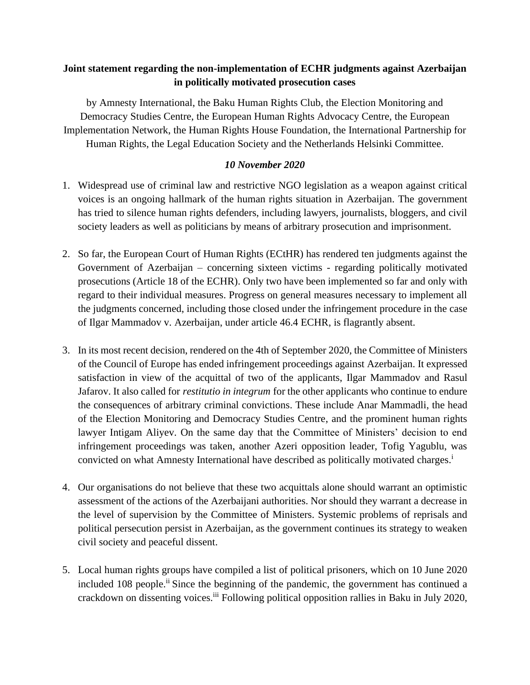## **Joint statement regarding the non-implementation of ECHR judgments against Azerbaijan in politically motivated prosecution cases**

by Amnesty International, the Baku Human Rights Club, the Election Monitoring and Democracy Studies Centre, the European Human Rights Advocacy Centre, the European Implementation Network, the Human Rights House Foundation, the International Partnership for Human Rights, the Legal Education Society and the Netherlands Helsinki Committee.

## *10 November 2020*

- 1. Widespread use of criminal law and restrictive NGO legislation as a weapon against critical voices is an ongoing hallmark of the human rights situation in Azerbaijan. The government has tried to silence human rights defenders, including lawyers, journalists, bloggers, and civil society leaders as well as politicians by means of arbitrary prosecution and imprisonment.
- 2. So far, the European Court of Human Rights (ECtHR) has rendered ten judgments against the Government of Azerbaijan – concerning sixteen victims - regarding politically motivated prosecutions (Article 18 of the ECHR). Only two have been implemented so far and only with regard to their individual measures. Progress on general measures necessary to implement all the judgments concerned, including those closed under the infringement procedure in the case of Ilgar Mammadov v. Azerbaijan, under article 46.4 ECHR, is flagrantly absent.
- 3. In its most recent decision, rendered on the 4th of September 2020, the Committee of Ministers of the Council of Europe has ended infringement proceedings against Azerbaijan. It expressed satisfaction in view of the acquittal of two of the applicants, Ilgar Mammadov and Rasul Jafarov. It also called for *restitutio in integrum* for the other applicants who continue to endure the consequences of arbitrary criminal convictions. These include Anar Mammadli, the head of the Election Monitoring and Democracy Studies Centre, and the prominent human rights lawyer Intigam Aliyev. On the same day that the Committee of Ministers' decision to end infringement proceedings was taken, another Azeri opposition leader, Tofig Yagublu, was convicted on what Amnesty International have described as politically motivated charges. i
- 4. Our organisations do not believe that these two acquittals alone should warrant an optimistic assessment of the actions of the Azerbaijani authorities. Nor should they warrant a decrease in the level of supervision by the Committee of Ministers. Systemic problems of reprisals and political persecution persist in Azerbaijan, as the government continues its strategy to weaken civil society and peaceful dissent.
- 5. Local human rights groups have compiled a list of political prisoners, which on 10 June 2020 included 108 people.<sup>ii</sup> Since the beginning of the pandemic, the government has continued a crackdown on dissenting voices.<sup>iii</sup> Following political opposition rallies in Baku in July 2020,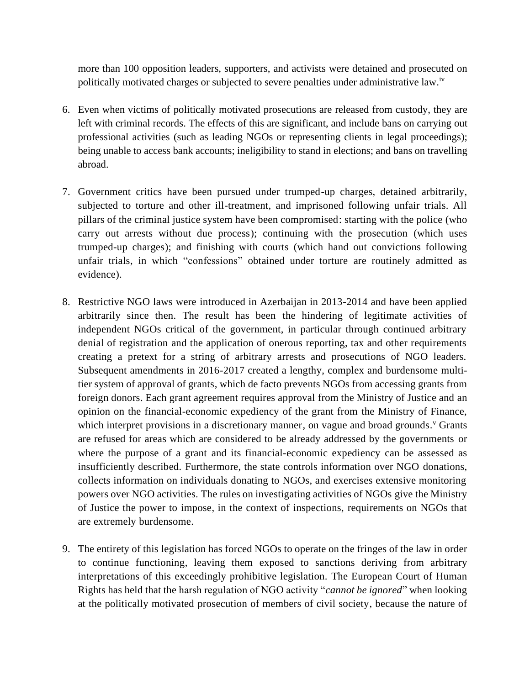more than 100 opposition leaders, supporters, and activists were detained and prosecuted on politically motivated charges or subjected to severe penalties under administrative law.<sup>iv</sup>

- 6. Even when victims of politically motivated prosecutions are released from custody, they are left with criminal records. The effects of this are significant, and include bans on carrying out professional activities (such as leading NGOs or representing clients in legal proceedings); being unable to access bank accounts; ineligibility to stand in elections; and bans on travelling abroad.
- 7. Government critics have been pursued under trumped-up charges, detained arbitrarily, subjected to torture and other ill-treatment, and imprisoned following unfair trials. All pillars of the criminal justice system have been compromised: starting with the police (who carry out arrests without due process); continuing with the prosecution (which uses trumped-up charges); and finishing with courts (which hand out convictions following unfair trials, in which "confessions" obtained under torture are routinely admitted as evidence).
- 8. Restrictive NGO laws were introduced in Azerbaijan in 2013-2014 and have been applied arbitrarily since then. The result has been the hindering of legitimate activities of independent NGOs critical of the government, in particular through continued arbitrary denial of registration and the application of onerous reporting, tax and other requirements creating a pretext for a string of arbitrary arrests and prosecutions of NGO leaders. Subsequent amendments in 2016-2017 created a lengthy, complex and burdensome multitier system of approval of grants, which de facto prevents NGOs from accessing grants from foreign donors. Each grant agreement requires approval from the Ministry of Justice and an opinion on the financial-economic expediency of the grant from the Ministry of Finance, which interpret provisions in a discretionary manner, on vague and broad grounds.<sup>v</sup> Grants are refused for areas which are considered to be already addressed by the governments or where the purpose of a grant and its financial-economic expediency can be assessed as insufficiently described*.* Furthermore, the state controls information over NGO donations, collects information on individuals donating to NGOs, and exercises extensive monitoring powers over NGO activities. The rules on investigating activities of NGOs give the Ministry of Justice the power to impose, in the context of inspections, requirements on NGOs that are extremely burdensome.
- 9. The entirety of this legislation has forced NGOs to operate on the fringes of the law in order to continue functioning, leaving them exposed to sanctions deriving from arbitrary interpretations of this exceedingly prohibitive legislation. The European Court of Human Rights has held that the harsh regulation of NGO activity "*cannot be ignored*" when looking at the politically motivated prosecution of members of civil society, because the nature of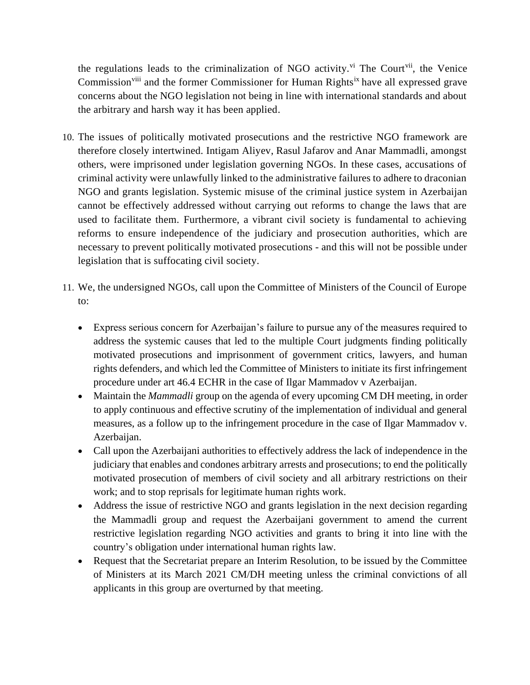the regulations leads to the criminalization of NGO activity.<sup>vi</sup> The Court<sup>vii</sup>, the Venice Commission<sup>viii</sup> and the former Commissioner for Human Rights<sup>ix</sup> have all expressed grave concerns about the NGO legislation not being in line with international standards and about the arbitrary and harsh way it has been applied.

- 10. The issues of politically motivated prosecutions and the restrictive NGO framework are therefore closely intertwined. Intigam Aliyev, Rasul Jafarov and Anar Mammadli, amongst others, were imprisoned under legislation governing NGOs. In these cases, accusations of criminal activity were unlawfully linked to the administrative failures to adhere to draconian NGO and grants legislation. Systemic misuse of the criminal justice system in Azerbaijan cannot be effectively addressed without carrying out reforms to change the laws that are used to facilitate them. Furthermore, a vibrant civil society is fundamental to achieving reforms to ensure independence of the judiciary and prosecution authorities, which are necessary to prevent politically motivated prosecutions - and this will not be possible under legislation that is suffocating civil society.
- 11. We, the undersigned NGOs, call upon the Committee of Ministers of the Council of Europe to:
	- Express serious concern for Azerbaijan's failure to pursue any of the measures required to address the systemic causes that led to the multiple Court judgments finding politically motivated prosecutions and imprisonment of government critics, lawyers, and human rights defenders, and which led the Committee of Ministers to initiate its first infringement procedure under art 46.4 ECHR in the case of Ilgar Mammadov v Azerbaijan.
	- Maintain the *Mammadli* group on the agenda of every upcoming CM DH meeting, in order to apply continuous and effective scrutiny of the implementation of individual and general measures, as a follow up to the infringement procedure in the case of Ilgar Mammadov v. Azerbaijan.
	- Call upon the Azerbaijani authorities to effectively address the lack of independence in the judiciary that enables and condones arbitrary arrests and prosecutions; to end the politically motivated prosecution of members of civil society and all arbitrary restrictions on their work; and to stop reprisals for legitimate human rights work.
	- Address the issue of restrictive NGO and grants legislation in the next decision regarding the Mammadli group and request the Azerbaijani government to amend the current restrictive legislation regarding NGO activities and grants to bring it into line with the country's obligation under international human rights law.
	- Request that the Secretariat prepare an Interim Resolution, to be issued by the Committee of Ministers at its March 2021 CM/DH meeting unless the criminal convictions of all applicants in this group are overturned by that meeting.